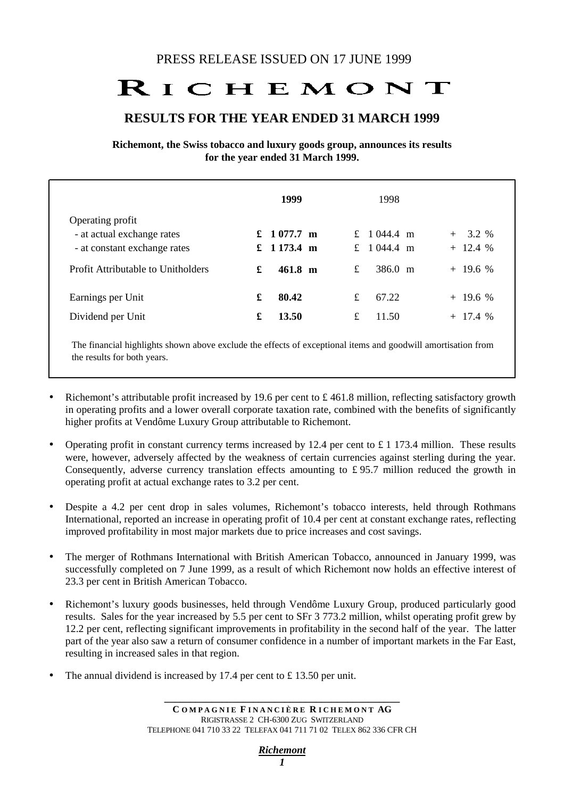# RICHEMONT

# **RESULTS FOR THE YEAR ENDED 31 MARCH 1999**

**Richemont, the Swiss tobacco and luxury goods group, announces its results for the year ended 31 March 1999.**

|                                                                                | 1999                                  | 1998                                    |                          |
|--------------------------------------------------------------------------------|---------------------------------------|-----------------------------------------|--------------------------|
| Operating profit<br>- at actual exchange rates<br>- at constant exchange rates | $1077.7 \text{ m}$<br>£<br>£ 1173.4 m | $1044.4$ m<br>$f_{\cdot}$<br>£ 1044.4 m | $+ 3.2 %$<br>$+$ 12.4 %  |
| Profit Attributable to Unitholders                                             | $461.8 \text{ m}$<br>£                | $386.0 \text{ m}$<br>£                  | $+$ 19.6 %               |
| Earnings per Unit<br>Dividend per Unit                                         | £<br>80.42<br>13.50<br>£              | £<br>67.22<br>£<br>11.50                | $+$ 19.6 %<br>$+$ 17.4 % |

The financial highlights shown above exclude the effects of exceptional items and goodwill amortisation from the results for both years.

- Richemont's attributable profit increased by 19.6 per cent to  $\text{\pounds}$  461.8 million, reflecting satisfactory growth in operating profits and a lower overall corporate taxation rate, combined with the benefits of significantly higher profits at Vendôme Luxury Group attributable to Richemont.
- Operating profit in constant currency terms increased by 12.4 per cent to  $\pounds$  1 173.4 million. These results were, however, adversely affected by the weakness of certain currencies against sterling during the year. Consequently, adverse currency translation effects amounting to £ 95.7 million reduced the growth in operating profit at actual exchange rates to 3.2 per cent.
- Despite a 4.2 per cent drop in sales volumes, Richemont's tobacco interests, held through Rothmans International, reported an increase in operating profit of 10.4 per cent at constant exchange rates, reflecting improved profitability in most major markets due to price increases and cost savings.
- The merger of Rothmans International with British American Tobacco, announced in January 1999, was successfully completed on 7 June 1999, as a result of which Richemont now holds an effective interest of 23.3 per cent in British American Tobacco.
- Richemont's luxury goods businesses, held through Vendôme Luxury Group, produced particularly good results. Sales for the year increased by 5.5 per cent to SFr 3 773.2 million, whilst operating profit grew by 12.2 per cent, reflecting significant improvements in profitability in the second half of the year. The latter part of the year also saw a return of consumer confidence in a number of important markets in the Far East, resulting in increased sales in that region.
- The annual dividend is increased by 17.4 per cent to £ 13.50 per unit.

**\_\_\_\_\_\_\_\_\_\_\_\_\_\_\_\_\_\_\_\_\_\_\_\_\_\_\_\_\_\_\_\_\_\_\_\_\_\_\_\_\_\_\_\_\_**

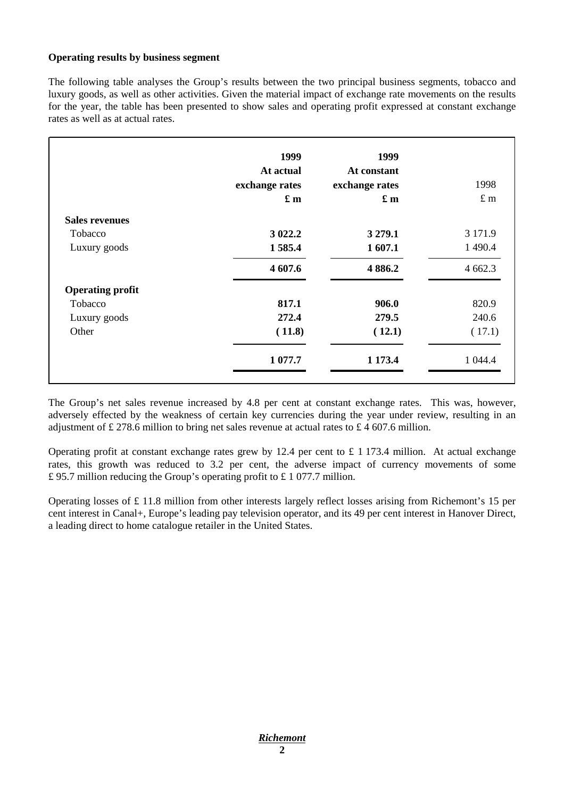# **Operating results by business segment**

The following table analyses the Group's results between the two principal business segments, tobacco and luxury goods, as well as other activities. Given the material impact of exchange rate movements on the results for the year, the table has been presented to show sales and operating profit expressed at constant exchange rates as well as at actual rates.

|                         | 1999<br>At actual<br>exchange rates<br>$\mathbf{\pounds}$ m | 1999<br>At constant<br>exchange rates<br>$\mathbf{\pounds}$ m | 1998<br>$£$ m |
|-------------------------|-------------------------------------------------------------|---------------------------------------------------------------|---------------|
| <b>Sales revenues</b>   |                                                             |                                                               |               |
| <b>Tobacco</b>          | 3 022.2                                                     | 3 2 7 9 .1                                                    | 3 171.9       |
| Luxury goods            | 1585.4                                                      | 1 607.1                                                       | 1 4 9 0.4     |
|                         | 4 607.6                                                     | 4 8 8 6.2                                                     | 4 6 6 2.3     |
| <b>Operating profit</b> |                                                             |                                                               |               |
| Tobacco                 | 817.1                                                       | 906.0                                                         | 820.9         |
| Luxury goods            | 272.4                                                       | 279.5                                                         | 240.6         |
| Other                   | (11.8)                                                      | (12.1)                                                        | (17.1)        |
|                         | 1 077.7                                                     | 1 1 7 3 .4                                                    | 1 0 4 4.4     |

The Group's net sales revenue increased by 4.8 per cent at constant exchange rates. This was, however, adversely effected by the weakness of certain key currencies during the year under review, resulting in an adjustment of £ 278.6 million to bring net sales revenue at actual rates to £ 4 607.6 million.

Operating profit at constant exchange rates grew by 12.4 per cent to £ 1 173.4 million. At actual exchange rates, this growth was reduced to 3.2 per cent, the adverse impact of currency movements of some £ 95.7 million reducing the Group's operating profit to £ 1 077.7 million.

Operating losses of £ 11.8 million from other interests largely reflect losses arising from Richemont's 15 per cent interest in Canal+, Europe's leading pay television operator, and its 49 per cent interest in Hanover Direct, a leading direct to home catalogue retailer in the United States.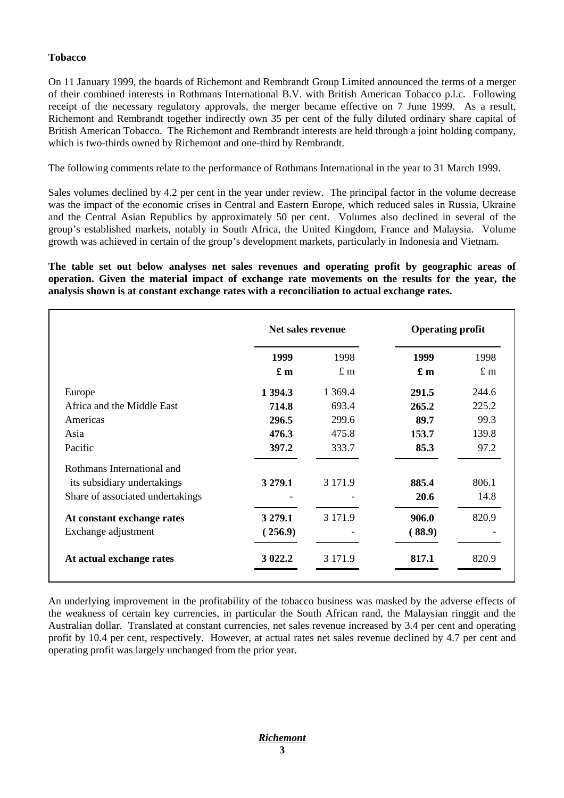# **Tobacco**

On 11 January 1999, the boards of Richemont and Rembrandt Group Limited announced the terms of a merger of their combined interests in Rothmans International B.V. with British American Tobacco p.l.c. Following receipt of the necessary regulatory approvals, the merger became effective on 7 June 1999. As a result, Richemont and Rembrandt together indirectly own 35 per cent of the fully diluted ordinary share capital of British American Tobacco. The Richemont and Rembrandt interests are held through a joint holding company, which is two-thirds owned by Richemont and one-third by Rembrandt.

The following comments relate to the performance of Rothmans International in the year to 31 March 1999.

Sales volumes declined by 4.2 per cent in the year under review. The principal factor in the volume decrease was the impact of the economic crises in Central and Eastern Europe, which reduced sales in Russia, Ukraine and the Central Asian Republics by approximately 50 per cent. Volumes also declined in several of the group's established markets, notably in South Africa, the United Kingdom, France and Malaysia. Volume growth was achieved in certain of the group's development markets, particularly in Indonesia and Vietnam.

**The table set out below analyses net sales revenues and operating profit by geographic areas of operation. Given the material impact of exchange rate movements on the results for the year, the analysis shown is at constant exchange rates with a reconciliation to actual exchange rates.**

|                                  | Net sales revenue |           | <b>Operating profit</b> |             |
|----------------------------------|-------------------|-----------|-------------------------|-------------|
|                                  | 1999              | 1998      | 1999                    | 1998        |
|                                  | $\mathbf{f}$ m    | £ m       | $\mathbf{f}$ m          | $\pounds$ m |
| Europe                           | 1 394.3           | 1 3 6 9.4 | 291.5                   | 244.6       |
| Africa and the Middle East       | 714.8             | 693.4     | 265.2                   | 225.2       |
| Americas                         | 296.5             | 299.6     | 89.7                    | 99.3        |
| Asia                             | 476.3             | 475.8     | 153.7                   | 139.8       |
| Pacific                          | 397.2             | 333.7     | 85.3                    | 97.2        |
| Rothmans International and       |                   |           |                         |             |
| its subsidiary undertakings      | 3 279.1           | 3 171.9   | 885.4                   | 806.1       |
| Share of associated undertakings |                   |           | 20.6                    | 14.8        |
| At constant exchange rates       | 3 279.1           | 3 171.9   | 906.0                   | 820.9       |
| Exchange adjustment              | (256.9)           |           | (88.9)                  |             |
| At actual exchange rates         | 3 022.2           | 3 171.9   | 817.1                   | 820.9       |

An underlying improvement in the profitability of the tobacco business was masked by the adverse effects of the weakness of certain key currencies, in particular the South African rand, the Malaysian ringgit and the Australian dollar. Translated at constant currencies, net sales revenue increased by 3.4 per cent and operating profit by 10.4 per cent, respectively. However, at actual rates net sales revenue declined by 4.7 per cent and operating profit was largely unchanged from the prior year.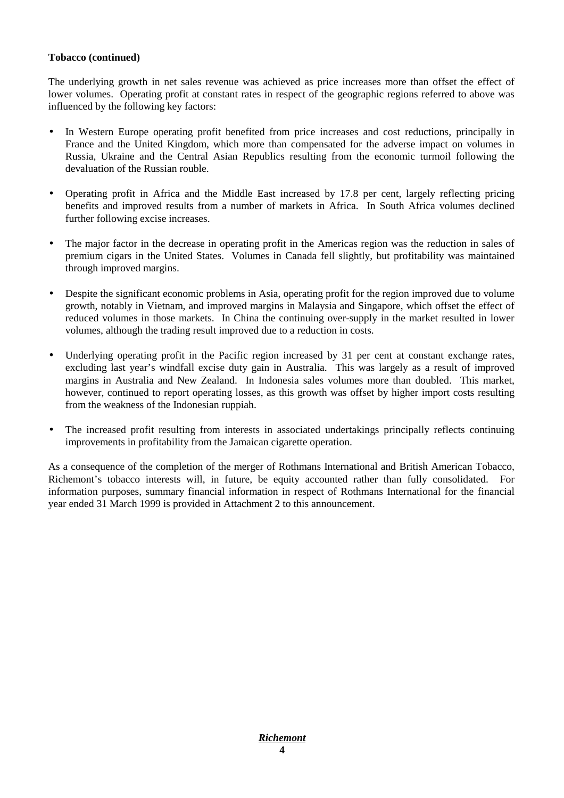#### **Tobacco (continued)**

The underlying growth in net sales revenue was achieved as price increases more than offset the effect of lower volumes. Operating profit at constant rates in respect of the geographic regions referred to above was influenced by the following key factors:

- In Western Europe operating profit benefited from price increases and cost reductions, principally in France and the United Kingdom, which more than compensated for the adverse impact on volumes in Russia, Ukraine and the Central Asian Republics resulting from the economic turmoil following the devaluation of the Russian rouble.
- Operating profit in Africa and the Middle East increased by 17.8 per cent, largely reflecting pricing benefits and improved results from a number of markets in Africa. In South Africa volumes declined further following excise increases.
- The major factor in the decrease in operating profit in the Americas region was the reduction in sales of premium cigars in the United States. Volumes in Canada fell slightly, but profitability was maintained through improved margins.
- Despite the significant economic problems in Asia, operating profit for the region improved due to volume growth, notably in Vietnam, and improved margins in Malaysia and Singapore, which offset the effect of reduced volumes in those markets. In China the continuing over-supply in the market resulted in lower volumes, although the trading result improved due to a reduction in costs.
- Underlying operating profit in the Pacific region increased by 31 per cent at constant exchange rates, excluding last year's windfall excise duty gain in Australia. This was largely as a result of improved margins in Australia and New Zealand. In Indonesia sales volumes more than doubled. This market, however, continued to report operating losses, as this growth was offset by higher import costs resulting from the weakness of the Indonesian ruppiah.
- The increased profit resulting from interests in associated undertakings principally reflects continuing improvements in profitability from the Jamaican cigarette operation.

As a consequence of the completion of the merger of Rothmans International and British American Tobacco, Richemont's tobacco interests will, in future, be equity accounted rather than fully consolidated. For information purposes, summary financial information in respect of Rothmans International for the financial year ended 31 March 1999 is provided in Attachment 2 to this announcement.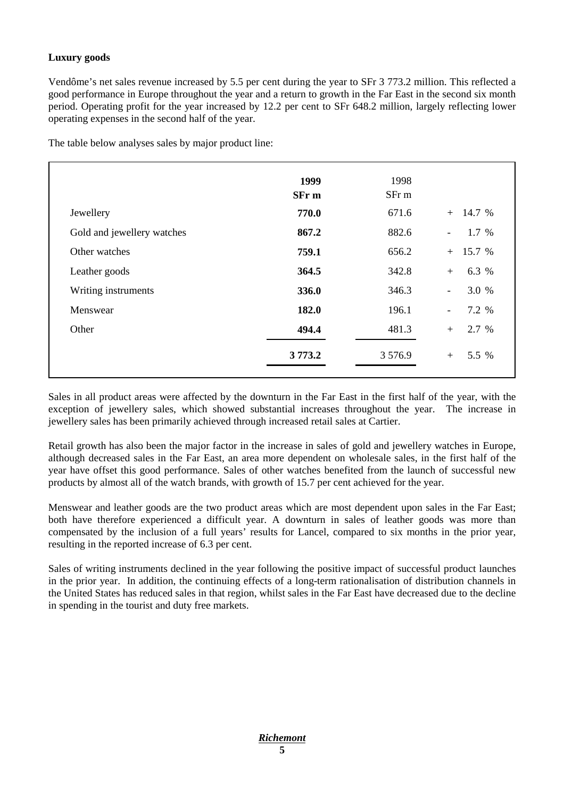# **Luxury goods**

Vendôme's net sales revenue increased by 5.5 per cent during the year to SFr 3 773.2 million. This reflected a good performance in Europe throughout the year and a return to growth in the Far East in the second six month period. Operating profit for the year increased by 12.2 per cent to SFr 648.2 million, largely reflecting lower operating expenses in the second half of the year.

**1999** 1998 **SFr m** SFr m Jewellery **770.0** 671.6 + 14.7 % Gold and jewellery watches 867.2 882.6 - 1.7 % Other watches **759.1** 656.2 + 15.7 % Leather goods **364.5 342.8** + 6.3 % Writing instruments **336.0** 346.3 - 3.0 % Menswear **182.0** 196.1 - 7.2 % Other **494.4** 481.3 + 2.7 % **3 773.2** 3 576.9 + 5.5 %

The table below analyses sales by major product line:

Sales in all product areas were affected by the downturn in the Far East in the first half of the year, with the exception of jewellery sales, which showed substantial increases throughout the year. The increase in jewellery sales has been primarily achieved through increased retail sales at Cartier.

Retail growth has also been the major factor in the increase in sales of gold and jewellery watches in Europe, although decreased sales in the Far East, an area more dependent on wholesale sales, in the first half of the year have offset this good performance. Sales of other watches benefited from the launch of successful new products by almost all of the watch brands, with growth of 15.7 per cent achieved for the year.

Menswear and leather goods are the two product areas which are most dependent upon sales in the Far East; both have therefore experienced a difficult year. A downturn in sales of leather goods was more than compensated by the inclusion of a full years' results for Lancel, compared to six months in the prior year, resulting in the reported increase of 6.3 per cent.

Sales of writing instruments declined in the year following the positive impact of successful product launches in the prior year. In addition, the continuing effects of a long-term rationalisation of distribution channels in the United States has reduced sales in that region, whilst sales in the Far East have decreased due to the decline in spending in the tourist and duty free markets.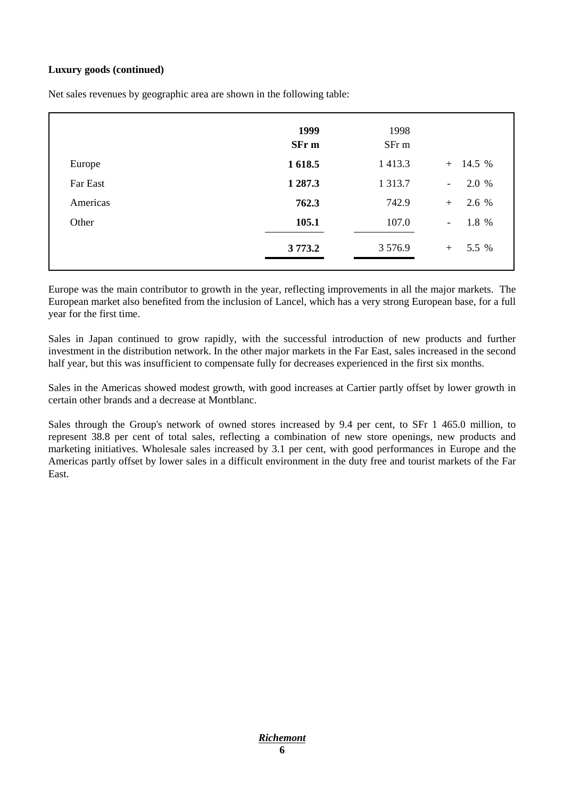# **Luxury goods (continued)**

Net sales revenues by geographic area are shown in the following table:

|          | 1999<br>SFr m | 1998<br>SFr m |                                   |
|----------|---------------|---------------|-----------------------------------|
| Europe   | 1 618.5       | 1 4 1 3 . 3   | 14.5 %<br>$+$                     |
| Far East | 1 287.3       | 1 3 1 3 .7    | 2.0 %<br>$\overline{\phantom{0}}$ |
| Americas | 762.3         | 742.9         | 2.6 %<br>$+$                      |
| Other    | 105.1         | 107.0         | 1.8 %<br>$\overline{\phantom{a}}$ |
|          | 3 7 7 3 .2    | 3576.9        | 5.5 %<br>$+$                      |

Europe was the main contributor to growth in the year, reflecting improvements in all the major markets. The European market also benefited from the inclusion of Lancel, which has a very strong European base, for a full year for the first time.

Sales in Japan continued to grow rapidly, with the successful introduction of new products and further investment in the distribution network. In the other major markets in the Far East, sales increased in the second half year, but this was insufficient to compensate fully for decreases experienced in the first six months.

Sales in the Americas showed modest growth, with good increases at Cartier partly offset by lower growth in certain other brands and a decrease at Montblanc.

Sales through the Group's network of owned stores increased by 9.4 per cent, to SFr 1 465.0 million, to represent 38.8 per cent of total sales, reflecting a combination of new store openings, new products and marketing initiatives. Wholesale sales increased by 3.1 per cent, with good performances in Europe and the Americas partly offset by lower sales in a difficult environment in the duty free and tourist markets of the Far East.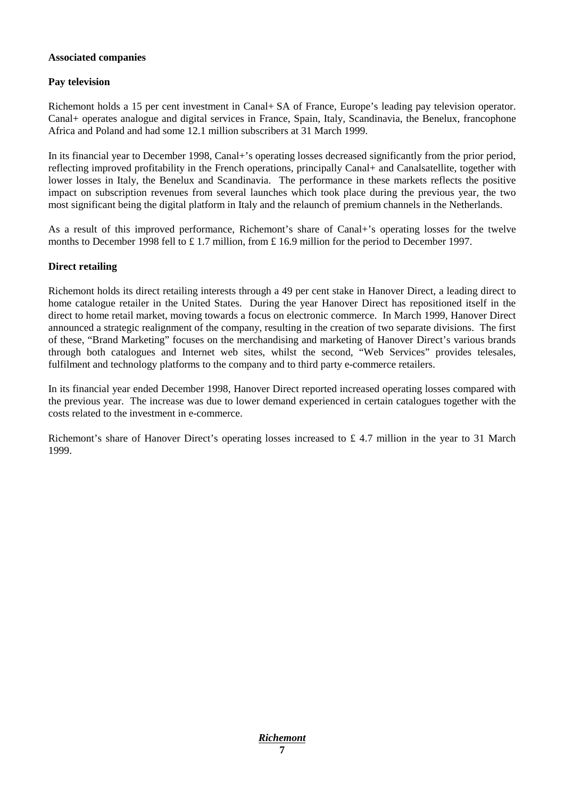#### **Associated companies**

#### **Pay television**

Richemont holds a 15 per cent investment in Canal+ SA of France, Europe's leading pay television operator. Canal+ operates analogue and digital services in France, Spain, Italy, Scandinavia, the Benelux, francophone Africa and Poland and had some 12.1 million subscribers at 31 March 1999.

In its financial year to December 1998, Canal+'s operating losses decreased significantly from the prior period, reflecting improved profitability in the French operations, principally Canal+ and Canalsatellite, together with lower losses in Italy, the Benelux and Scandinavia. The performance in these markets reflects the positive impact on subscription revenues from several launches which took place during the previous year, the two most significant being the digital platform in Italy and the relaunch of premium channels in the Netherlands.

As a result of this improved performance, Richemont's share of Canal+'s operating losses for the twelve months to December 1998 fell to £1.7 million, from £16.9 million for the period to December 1997.

#### **Direct retailing**

Richemont holds its direct retailing interests through a 49 per cent stake in Hanover Direct, a leading direct to home catalogue retailer in the United States. During the year Hanover Direct has repositioned itself in the direct to home retail market, moving towards a focus on electronic commerce. In March 1999, Hanover Direct announced a strategic realignment of the company, resulting in the creation of two separate divisions. The first of these, "Brand Marketing" focuses on the merchandising and marketing of Hanover Direct's various brands through both catalogues and Internet web sites, whilst the second, "Web Services" provides telesales, fulfilment and technology platforms to the company and to third party e-commerce retailers.

In its financial year ended December 1998, Hanover Direct reported increased operating losses compared with the previous year. The increase was due to lower demand experienced in certain catalogues together with the costs related to the investment in e-commerce.

Richemont's share of Hanover Direct's operating losses increased to £ 4.7 million in the year to 31 March 1999.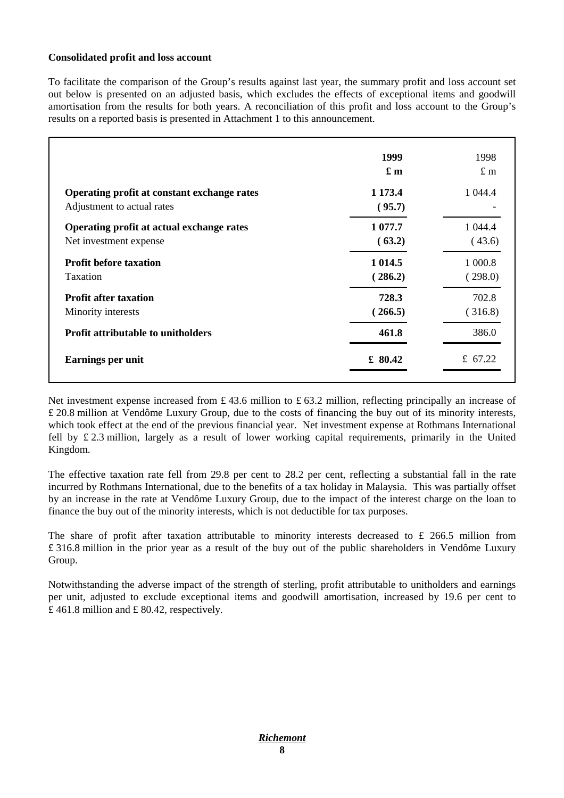#### **Consolidated profit and loss account**

To facilitate the comparison of the Group's results against last year, the summary profit and loss account set out below is presented on an adjusted basis, which excludes the effects of exceptional items and goodwill amortisation from the results for both years. A reconciliation of this profit and loss account to the Group's results on a reported basis is presented in Attachment 1 to this announcement.

|                                                                           | 1999<br>$\mathbf{f}$ m | 1998<br>$\pounds$ m |
|---------------------------------------------------------------------------|------------------------|---------------------|
| Operating profit at constant exchange rates<br>Adjustment to actual rates | 1 1 7 3.4<br>(95.7)    | 1 0 4 4.4           |
| Operating profit at actual exchange rates<br>Net investment expense       | 1 077.7<br>(63.2)      | 1 0 4 4.4<br>(43.6) |
| <b>Profit before taxation</b><br>Taxation                                 | 1 0 1 4.5<br>(286.2)   | 1 000.8<br>(298.0)  |
| <b>Profit after taxation</b><br>Minority interests                        | 728.3<br>(266.5)       | 702.8<br>(316.8)    |
| <b>Profit attributable to unitholders</b>                                 | 461.8                  | 386.0               |
| Earnings per unit                                                         | £ $80.42$              | £ 67.22             |

Net investment expense increased from £ 43.6 million to £ 63.2 million, reflecting principally an increase of £ 20.8 million at Vendôme Luxury Group, due to the costs of financing the buy out of its minority interests, which took effect at the end of the previous financial year. Net investment expense at Rothmans International fell by £ 2.3 million, largely as a result of lower working capital requirements, primarily in the United Kingdom.

The effective taxation rate fell from 29.8 per cent to 28.2 per cent, reflecting a substantial fall in the rate incurred by Rothmans International, due to the benefits of a tax holiday in Malaysia. This was partially offset by an increase in the rate at Vendôme Luxury Group, due to the impact of the interest charge on the loan to finance the buy out of the minority interests, which is not deductible for tax purposes.

The share of profit after taxation attributable to minority interests decreased to  $\text{\pounds}$  266.5 million from £ 316.8 million in the prior year as a result of the buy out of the public shareholders in Vendôme Luxury Group.

Notwithstanding the adverse impact of the strength of sterling, profit attributable to unitholders and earnings per unit, adjusted to exclude exceptional items and goodwill amortisation, increased by 19.6 per cent to £ 461.8 million and £ 80.42, respectively.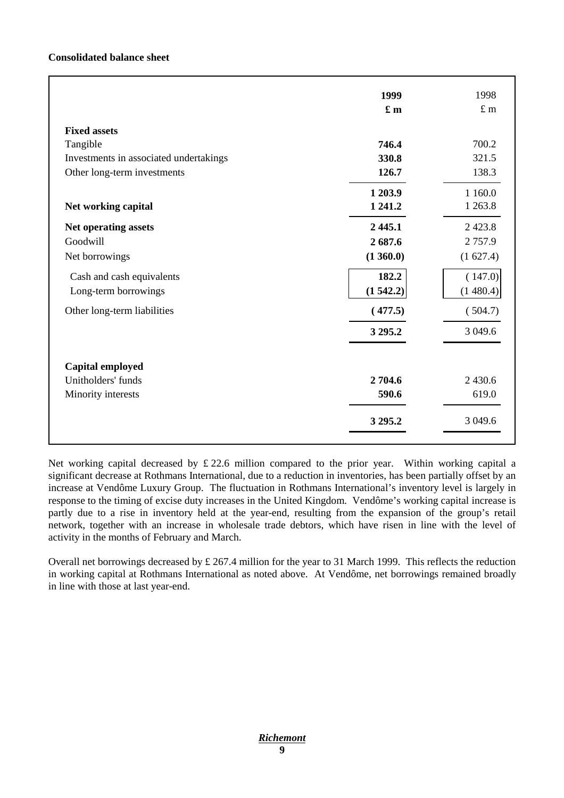# **Consolidated balance sheet**

|                                        | 1999<br>$\mathbf{\pounds}$ m | 1998<br>$£$ m |
|----------------------------------------|------------------------------|---------------|
| <b>Fixed assets</b>                    |                              |               |
| Tangible                               | 746.4                        | 700.2         |
| Investments in associated undertakings | 330.8                        | 321.5         |
| Other long-term investments            | 126.7                        | 138.3         |
|                                        | 1 203.9                      | 1 1 6 0.0     |
| Net working capital                    | 1 241.2                      | 1 2 6 3 . 8   |
| Net operating assets                   | 2445.1                       | 2423.8        |
| Goodwill                               | 2687.6                       | 2757.9        |
| Net borrowings                         | (1360.0)                     | (1627.4)      |
| Cash and cash equivalents              | 182.2                        | (147.0)       |
| Long-term borrowings                   | (1542.2)                     | (1480.4)      |
| Other long-term liabilities            | (477.5)                      | (504.7)       |
|                                        | 3 295.2                      | 3 0 4 9.6     |
| <b>Capital employed</b>                |                              |               |
| Unitholders' funds                     | 2704.6                       | 2 4 3 0.6     |
| Minority interests                     | 590.6                        | 619.0         |
|                                        | 3 295.2                      | 3 0 4 9.6     |

Net working capital decreased by £ 22.6 million compared to the prior year. Within working capital a significant decrease at Rothmans International, due to a reduction in inventories, has been partially offset by an increase at Vendôme Luxury Group. The fluctuation in Rothmans International's inventory level is largely in response to the timing of excise duty increases in the United Kingdom. Vendôme's working capital increase is partly due to a rise in inventory held at the year-end, resulting from the expansion of the group's retail network, together with an increase in wholesale trade debtors, which have risen in line with the level of activity in the months of February and March.

Overall net borrowings decreased by £ 267.4 million for the year to 31 March 1999. This reflects the reduction in working capital at Rothmans International as noted above. At Vendôme, net borrowings remained broadly in line with those at last year-end.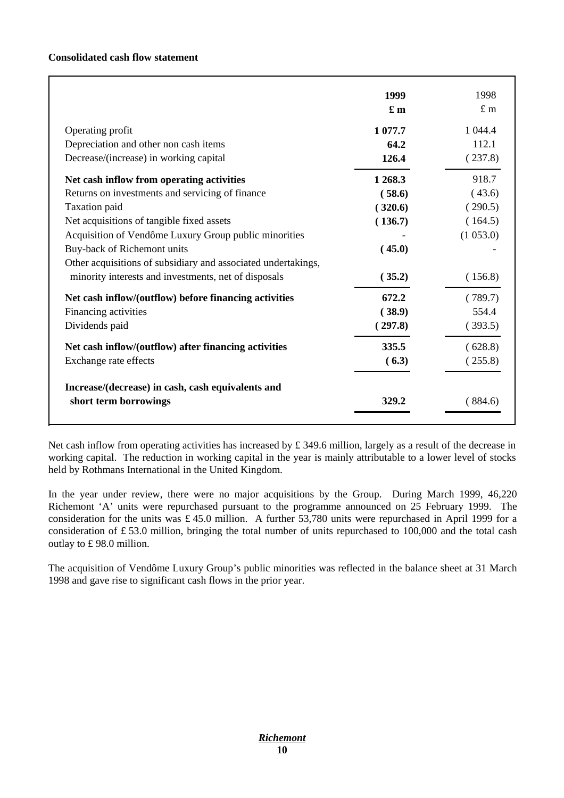#### **Consolidated cash flow statement**

|                                                               | 1999           | 1998        |
|---------------------------------------------------------------|----------------|-------------|
|                                                               | $\mathbf{f}$ m | $\pounds$ m |
| Operating profit                                              | 1 077.7        | 1 044.4     |
| Depreciation and other non cash items                         | 64.2           | 112.1       |
| Decrease/(increase) in working capital                        | 126.4          | (237.8)     |
| Net cash inflow from operating activities                     | 1 268.3        | 918.7       |
| Returns on investments and servicing of finance               | (58.6)         | (43.6)      |
| Taxation paid                                                 | (320.6)        | (290.5)     |
| Net acquisitions of tangible fixed assets                     | (136.7)        | (164.5)     |
| Acquisition of Vendôme Luxury Group public minorities         |                | (1053.0)    |
| Buy-back of Richemont units                                   | (45.0)         |             |
| Other acquisitions of subsidiary and associated undertakings, |                |             |
| minority interests and investments, net of disposals          | (35.2)         | (156.8)     |
| Net cash inflow/(outflow) before financing activities         | 672.2          | (789.7)     |
| Financing activities                                          | (38.9)         | 554.4       |
| Dividends paid                                                | (297.8)        | (393.5)     |
| Net cash inflow/(outflow) after financing activities          | 335.5          | (628.8)     |
| Exchange rate effects                                         | (6.3)          | (255.8)     |
| Increase/(decrease) in cash, cash equivalents and             |                |             |
| short term borrowings                                         | 329.2          | (884.6)     |

Net cash inflow from operating activities has increased by £ 349.6 million, largely as a result of the decrease in working capital. The reduction in working capital in the year is mainly attributable to a lower level of stocks held by Rothmans International in the United Kingdom.

In the year under review, there were no major acquisitions by the Group. During March 1999, 46,220 Richemont 'A' units were repurchased pursuant to the programme announced on 25 February 1999. The consideration for the units was £ 45.0 million. A further 53,780 units were repurchased in April 1999 for a consideration of £ 53.0 million, bringing the total number of units repurchased to 100,000 and the total cash outlay to £ 98.0 million.

The acquisition of Vendôme Luxury Group's public minorities was reflected in the balance sheet at 31 March 1998 and gave rise to significant cash flows in the prior year.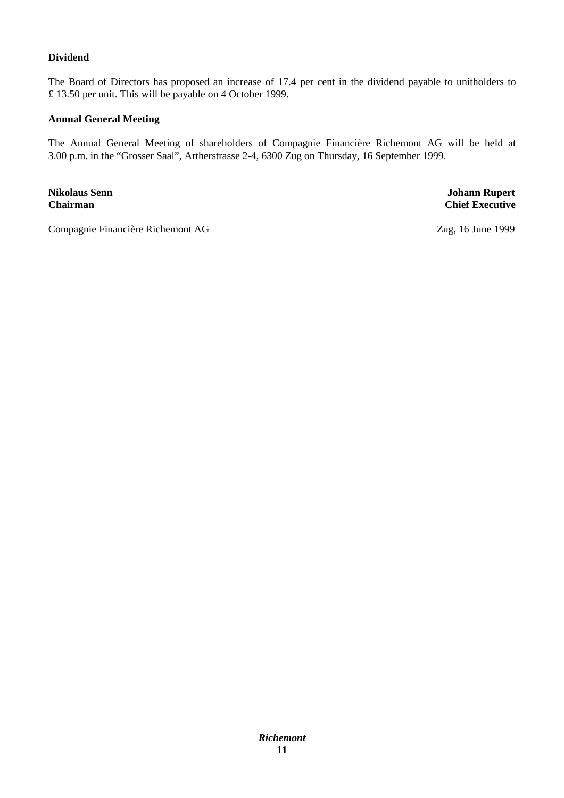### **Dividend**

The Board of Directors has proposed an increase of 17.4 per cent in the dividend payable to unitholders to £ 13.50 per unit. This will be payable on 4 October 1999.

#### **Annual General Meeting**

The Annual General Meeting of shareholders of Compagnie Financière Richemont AG will be held at 3.00 p.m. in the "Grosser Saal", Artherstrasse 2-4, 6300 Zug on Thursday, 16 September 1999.

**Nikolaus Senn Johann Rupert Chairman Chief Executive**

Compagnie Financière Richemont AG Zug, 16 June 1999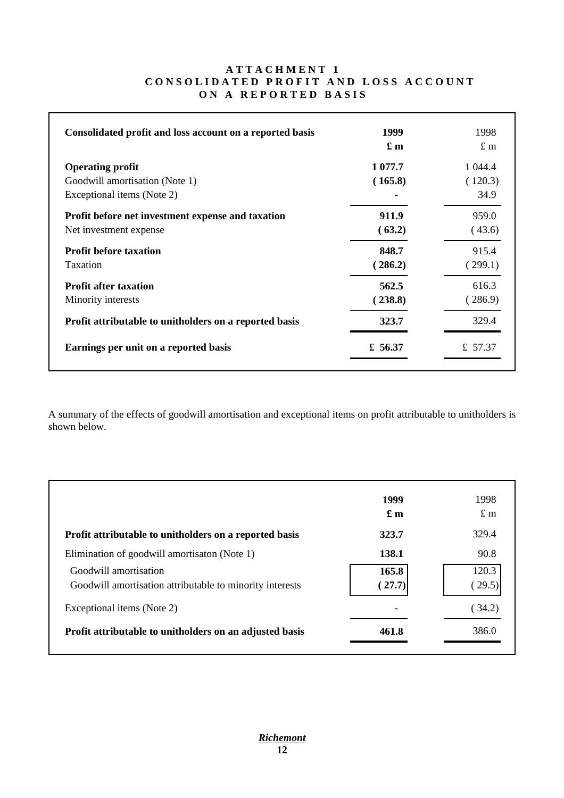# **A T T A C H M E N T 1** CONSOLIDATED PROFIT AND LOSS ACCOUNT **ON A REPORTED BASIS**

| Consolidated profit and loss account on a reported basis                                | 1999<br>$\mathbf{f}$ m | 1998<br>$\pounds$ m        |
|-----------------------------------------------------------------------------------------|------------------------|----------------------------|
| <b>Operating profit</b><br>Goodwill amortisation (Note 1)<br>Exceptional items (Note 2) | 1 077.7<br>(165.8)     | 1 044.4<br>(120.3)<br>34.9 |
| Profit before net investment expense and taxation<br>Net investment expense             | 911.9<br>(63.2)        | 959.0<br>(43.6)            |
| <b>Profit before taxation</b><br>Taxation                                               | 848.7<br>(286.2)       | 915.4<br>(299.1)           |
| <b>Profit after taxation</b><br>Minority interests                                      | 562.5<br>(238.8)       | 616.3<br>(286.9)           |
| Profit attributable to unitholders on a reported basis                                  | 323.7                  | 329.4                      |
| Earnings per unit on a reported basis                                                   | £ 56.37                | £ 57.37                    |

A summary of the effects of goodwill amortisation and exceptional items on profit attributable to unitholders is shown below.

|                                                                                   | 1999<br>$\mathbf{f}$ m | 1998<br>$\pounds$ m |
|-----------------------------------------------------------------------------------|------------------------|---------------------|
| Profit attributable to unitholders on a reported basis                            | 323.7                  | 329.4               |
| Elimination of goodwill amortisaton (Note 1)                                      | 138.1                  | 90.8                |
| Goodwill amortisation<br>Goodwill amortisation attributable to minority interests | 165.8<br>(27.7)        | 120.3<br>(29.5)     |
| Exceptional items (Note 2)                                                        |                        | 34.2)               |
| Profit attributable to unitholders on an adjusted basis                           | 461.8                  | 386.0               |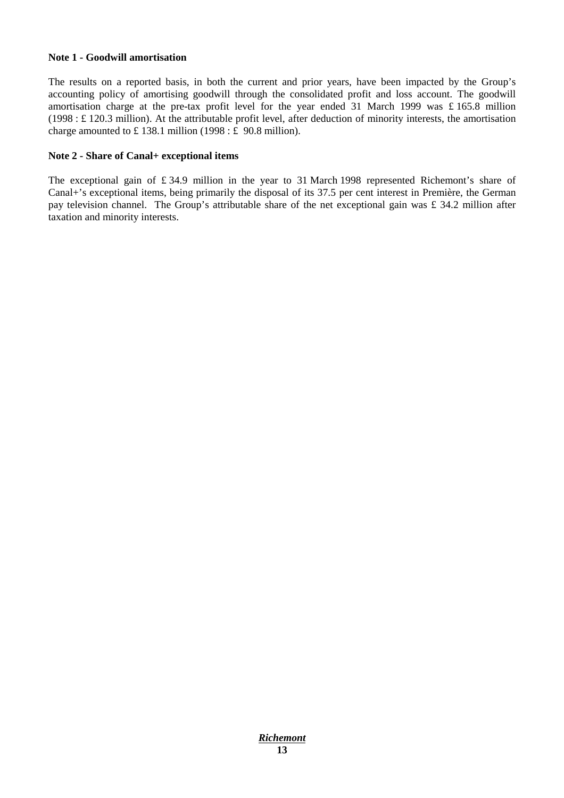# **Note 1 - Goodwill amortisation**

The results on a reported basis, in both the current and prior years, have been impacted by the Group's accounting policy of amortising goodwill through the consolidated profit and loss account. The goodwill amortisation charge at the pre-tax profit level for the year ended 31 March 1999 was £ 165.8 million (1998 : £ 120.3 million). At the attributable profit level, after deduction of minority interests, the amortisation charge amounted to £138.1 million (1998 : £90.8 million).

#### **Note 2 - Share of Canal+ exceptional items**

The exceptional gain of £ 34.9 million in the year to 31 March 1998 represented Richemont's share of Canal+'s exceptional items, being primarily the disposal of its 37.5 per cent interest in Première, the German pay television channel. The Group's attributable share of the net exceptional gain was £ 34.2 million after taxation and minority interests.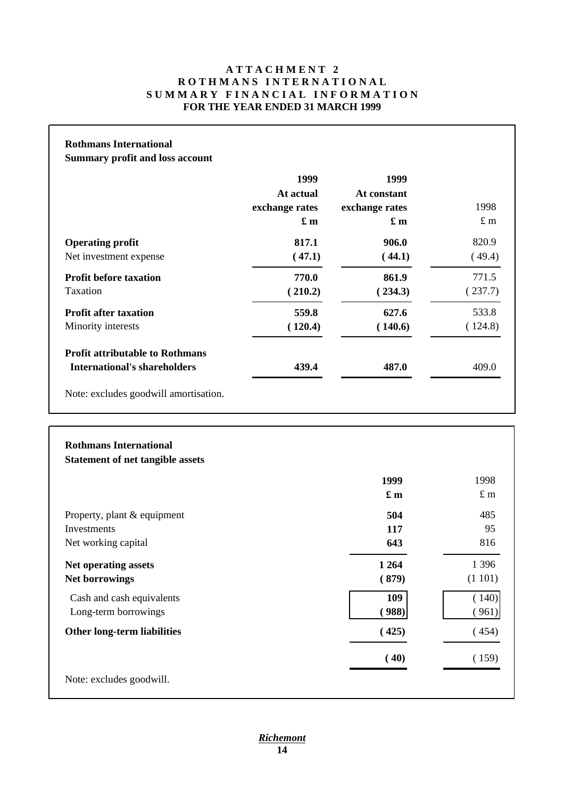# **A T T A C H M E N T 2 R O T H M A N S I N T E R N A T I O N A L** SUMMARY FINANCIAL INFORMATION **FOR THE YEAR ENDED 31 MARCH 1999**

| <b>Rothmans International</b><br><b>Summary profit and loss account</b> |                      |                      |             |
|-------------------------------------------------------------------------|----------------------|----------------------|-------------|
|                                                                         | 1999                 | 1999                 |             |
|                                                                         | At actual            | At constant          |             |
|                                                                         | exchange rates       | exchange rates       | 1998        |
|                                                                         | $\mathbf{\pounds}$ m | $\mathbf{\pounds}$ m | $\pounds$ m |
| <b>Operating profit</b>                                                 | 817.1                | 906.0                | 820.9       |
| Net investment expense                                                  | (47.1)               | (44.1)               | (49.4)      |
| <b>Profit before taxation</b>                                           | 770.0                | 861.9                | 771.5       |
| Taxation                                                                | (210.2)              | (234.3)              | (237.7)     |
| <b>Profit after taxation</b>                                            | 559.8                | 627.6                | 533.8       |
| Minority interests                                                      | (120.4)              | (140.6)              | (124.8)     |
| <b>Profit attributable to Rothmans</b>                                  |                      |                      |             |
| <b>International's shareholders</b>                                     | 439.4                | 487.0                | 409.0       |
| Note: excludes goodwill amortisation.                                   |                      |                      |             |
|                                                                         |                      |                      |             |

| <b>Rothmans International</b><br><b>Statement of net tangible assets</b> |                      |         |
|--------------------------------------------------------------------------|----------------------|---------|
|                                                                          | 1999                 | 1998    |
|                                                                          | $\mathbf{\pounds}$ m | $£$ m   |
| Property, plant & equipment                                              | 504                  | 485     |
| Investments                                                              | 117                  | 95      |
| Net working capital                                                      | 643                  | 816     |
| <b>Net operating assets</b>                                              | 1 2 6 4              | 1 3 9 6 |
| <b>Net borrowings</b>                                                    | (879)                | (1 101) |
| Cash and cash equivalents                                                | 109                  | (140)   |
| Long-term borrowings                                                     | 988)                 | (961)   |
| <b>Other long-term liabilities</b>                                       | (425)                | (454)   |
|                                                                          | (40)                 | (159)   |
| Note: excludes goodwill.                                                 |                      |         |